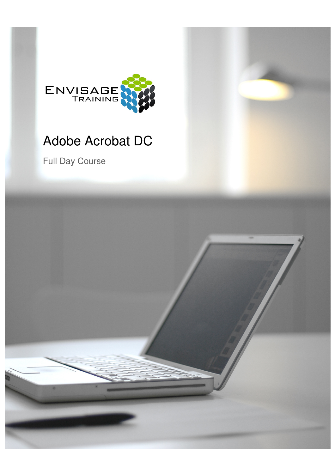

# Adobe Acrobat DC

Full Day Course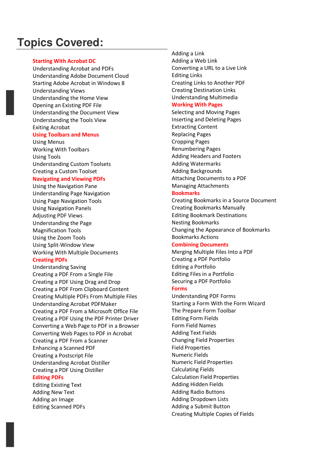# **Topics Covered:**

# **Starting With Acrobat DC**

Understanding Acrobat and PDFs Understanding Adobe Document Cloud Starting Adobe Acrobat in Windows 8 Understanding Views Understanding the Home View Opening an Existing PDF File Understanding the Document View Understanding the Tools View Exiting Acrobat

## **Using Toolbars and Menus**

Using Menus Working With Toolbars Using Tools Understanding Custom Toolsets Creating a Custom Toolset

# **Navigating and Viewing PDFs**

Using the Navigation Pane Understanding Page Navigation Using Page Navigation Tools Using Navigation Panels Adjusting PDF Views Understanding the Page Magnification Tools Using the Zoom Tools Using Split-Window View Working With Multiple Documents

# **Creating PDFs**

Understanding Saving Creating a PDF From a Single File Creating a PDF Using Drag and Drop Creating a PDF From Clipboard Content Creating Multiple PDFs From Multiple Files Understanding Acrobat PDFMaker Creating a PDF From a Microsoft Office File Creating a PDF Using the PDF Printer Driver Converting a Web Page to PDF in a Browser Converting Web Pages to PDF in Acrobat Creating a PDF From a Scanner Enhancing a Scanned PDF Creating a Postscript File Understanding Acrobat Distiller Creating a PDF Using Distiller

# **Editing PDFs**

Editing Existing Text Adding New Text Adding an Image Editing Scanned PDFs Adding a Link Adding a Web Link Converting a URL to a Live Link Editing Links Creating Links to Another PDF Creating Destination Links Understanding Multimedia

# **Working With Pages**

Selecting and Moving Pages Inserting and Deleting Pages Extracting Content Replacing Pages Cropping Pages Renumbering Pages Adding Headers and Footers Adding Watermarks Adding Backgrounds Attaching Documents to a PDF Managing Attachments

# **Bookmarks**

Creating Bookmarks in a Source Document Creating Bookmarks Manually Editing Bookmark Destinations Nesting Bookmarks Changing the Appearance of Bookmarks Bookmarks Actions

# **Combining Documents**

Merging Multiple Files Into a PDF Creating a PDF Portfolio Editing a Portfolio Editing Files in a Portfolio Securing a PDF Portfolio

# **Forms**

Understanding PDF Forms Starting a Form With the Form Wizard The Prepare Form Toolbar Editing Form Fields Form Field Names Adding Text Fields Changing Field Properties Field Properties Numeric Fields Numeric Field Properties Calculating Fields Calculation Field Properties Adding Hidden Fields Adding Radio Buttons Adding Dropdown Lists Adding a Submit Button Creating Multiple Copies of Fields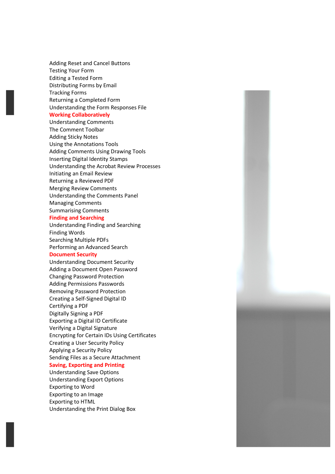Adding Reset and Cancel Buttons Testing Your Form Editing a Tested Form Distributing Forms by Email Tracking Forms Returning a Completed Form Understanding the Form Responses File

#### **Working Collaboratively**

Understanding Comments The Comment Toolbar Adding Sticky Notes Using the Annotations Tools Adding Comments Using Drawing Tools Inserting Digital Identity Stamps Understanding the Acrobat Review Processes Initiating an Email Review Returning a Reviewed PDF Merging Review Comments Understanding the Comments Panel Managing Comments Summarising Comments

#### **Finding and Searching**

Understanding Finding and Searching Finding Words Searching Multiple PDFs Performing an Advanced Search

### **Document Security**

Understanding Document Security Adding a Document Open Password Changing Password Protection Adding Permissions Passwords Removing Password Protection Creating a Self-Signed Digital ID Certifying a PDF Digitally Signing a PDF Exporting a Digital ID Certificate Verifying a Digital Signature Encrypting for Certain IDs Using Certificates Creating a User Security Policy Applying a Security Policy Sending Files as a Secure Attachment

# **Saving, Exporting and Printing**

Understanding Save Options Understanding Export Options Exporting to Word Exporting to an Image Exporting to HTML Understanding the Print Dialog Box